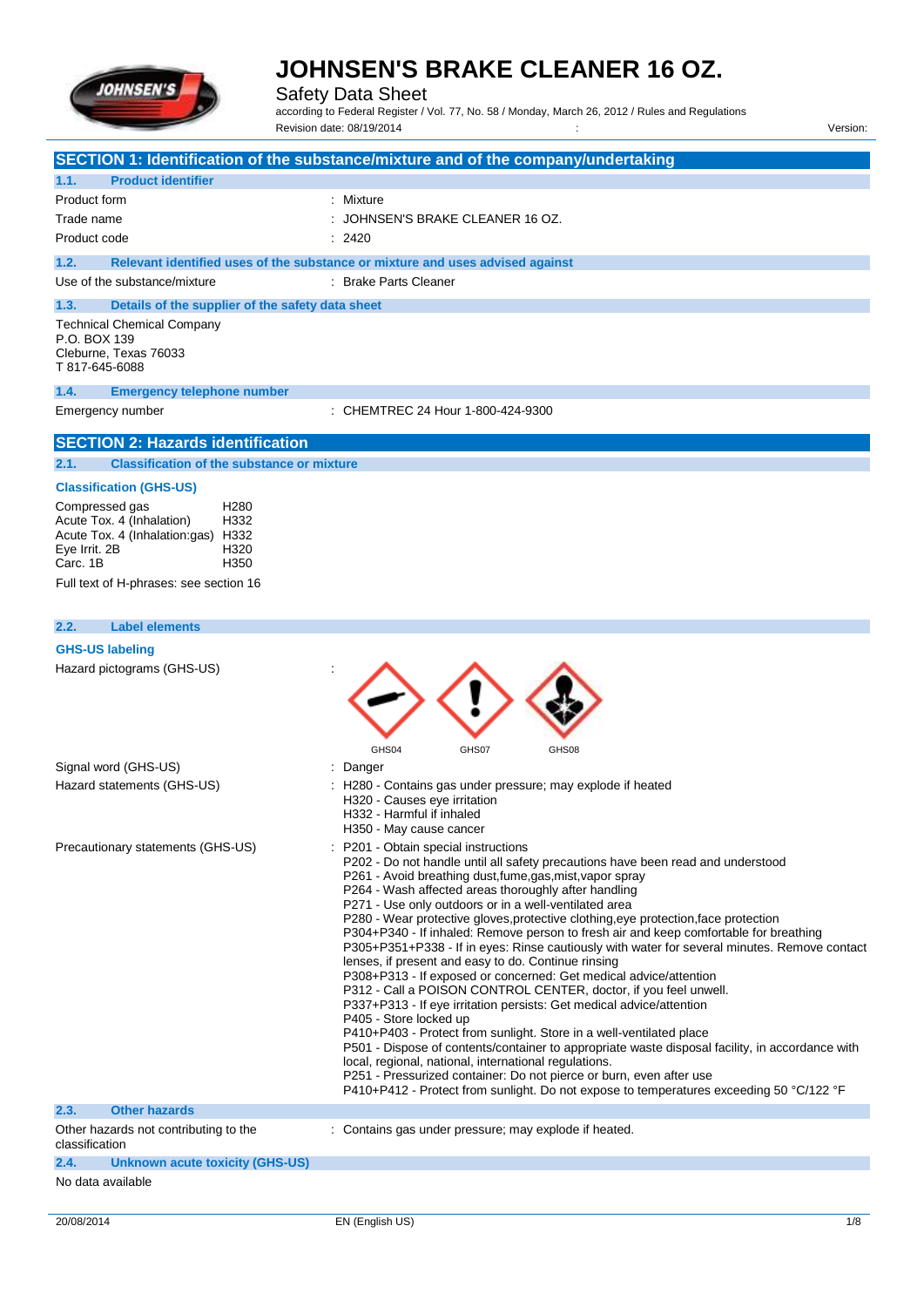

Safety Data Sheet

according to Federal Register / Vol. 77, No. 58 / Monday, March 26, 2012 / Rules and Regulations

|                                                                                                                                                                                                                     | Revision date: 08/19/2014<br>Version:                                                                                                                                                                                                                                                                                                                                                                                                                                                                                                                                                                                                                                                                                                                                                                                                                                                                                                                                                                                                                                                                                                                                                                                                                                                      |
|---------------------------------------------------------------------------------------------------------------------------------------------------------------------------------------------------------------------|--------------------------------------------------------------------------------------------------------------------------------------------------------------------------------------------------------------------------------------------------------------------------------------------------------------------------------------------------------------------------------------------------------------------------------------------------------------------------------------------------------------------------------------------------------------------------------------------------------------------------------------------------------------------------------------------------------------------------------------------------------------------------------------------------------------------------------------------------------------------------------------------------------------------------------------------------------------------------------------------------------------------------------------------------------------------------------------------------------------------------------------------------------------------------------------------------------------------------------------------------------------------------------------------|
|                                                                                                                                                                                                                     | SECTION 1: Identification of the substance/mixture and of the company/undertaking                                                                                                                                                                                                                                                                                                                                                                                                                                                                                                                                                                                                                                                                                                                                                                                                                                                                                                                                                                                                                                                                                                                                                                                                          |
| 1.1.<br><b>Product identifier</b>                                                                                                                                                                                   |                                                                                                                                                                                                                                                                                                                                                                                                                                                                                                                                                                                                                                                                                                                                                                                                                                                                                                                                                                                                                                                                                                                                                                                                                                                                                            |
| Product form                                                                                                                                                                                                        | Mixture                                                                                                                                                                                                                                                                                                                                                                                                                                                                                                                                                                                                                                                                                                                                                                                                                                                                                                                                                                                                                                                                                                                                                                                                                                                                                    |
| Trade name                                                                                                                                                                                                          | JOHNSEN'S BRAKE CLEANER 16 OZ.                                                                                                                                                                                                                                                                                                                                                                                                                                                                                                                                                                                                                                                                                                                                                                                                                                                                                                                                                                                                                                                                                                                                                                                                                                                             |
| Product code                                                                                                                                                                                                        | 2420                                                                                                                                                                                                                                                                                                                                                                                                                                                                                                                                                                                                                                                                                                                                                                                                                                                                                                                                                                                                                                                                                                                                                                                                                                                                                       |
| 1.2.                                                                                                                                                                                                                | Relevant identified uses of the substance or mixture and uses advised against                                                                                                                                                                                                                                                                                                                                                                                                                                                                                                                                                                                                                                                                                                                                                                                                                                                                                                                                                                                                                                                                                                                                                                                                              |
| Use of the substance/mixture                                                                                                                                                                                        | <b>Brake Parts Cleaner</b>                                                                                                                                                                                                                                                                                                                                                                                                                                                                                                                                                                                                                                                                                                                                                                                                                                                                                                                                                                                                                                                                                                                                                                                                                                                                 |
| 1.3.<br>Details of the supplier of the safety data sheet                                                                                                                                                            |                                                                                                                                                                                                                                                                                                                                                                                                                                                                                                                                                                                                                                                                                                                                                                                                                                                                                                                                                                                                                                                                                                                                                                                                                                                                                            |
| <b>Technical Chemical Company</b><br>P.O. BOX 139<br>Cleburne, Texas 76033<br>T 817-645-6088                                                                                                                        |                                                                                                                                                                                                                                                                                                                                                                                                                                                                                                                                                                                                                                                                                                                                                                                                                                                                                                                                                                                                                                                                                                                                                                                                                                                                                            |
| 1.4.<br><b>Emergency telephone number</b>                                                                                                                                                                           |                                                                                                                                                                                                                                                                                                                                                                                                                                                                                                                                                                                                                                                                                                                                                                                                                                                                                                                                                                                                                                                                                                                                                                                                                                                                                            |
| Emergency number                                                                                                                                                                                                    | : CHEMTREC 24 Hour 1-800-424-9300                                                                                                                                                                                                                                                                                                                                                                                                                                                                                                                                                                                                                                                                                                                                                                                                                                                                                                                                                                                                                                                                                                                                                                                                                                                          |
| <b>SECTION 2: Hazards identification</b>                                                                                                                                                                            |                                                                                                                                                                                                                                                                                                                                                                                                                                                                                                                                                                                                                                                                                                                                                                                                                                                                                                                                                                                                                                                                                                                                                                                                                                                                                            |
| <b>Classification of the substance or mixture</b><br>2.1.                                                                                                                                                           |                                                                                                                                                                                                                                                                                                                                                                                                                                                                                                                                                                                                                                                                                                                                                                                                                                                                                                                                                                                                                                                                                                                                                                                                                                                                                            |
| <b>Classification (GHS-US)</b>                                                                                                                                                                                      |                                                                                                                                                                                                                                                                                                                                                                                                                                                                                                                                                                                                                                                                                                                                                                                                                                                                                                                                                                                                                                                                                                                                                                                                                                                                                            |
| H <sub>280</sub><br>Compressed gas<br>Acute Tox. 4 (Inhalation)<br>H332<br>H332<br>Acute Tox. 4 (Inhalation:gas)<br>Eye Irrit. 2B<br>H320<br>Carc. 1B<br>H <sub>350</sub><br>Full text of H-phrases: see section 16 |                                                                                                                                                                                                                                                                                                                                                                                                                                                                                                                                                                                                                                                                                                                                                                                                                                                                                                                                                                                                                                                                                                                                                                                                                                                                                            |
|                                                                                                                                                                                                                     |                                                                                                                                                                                                                                                                                                                                                                                                                                                                                                                                                                                                                                                                                                                                                                                                                                                                                                                                                                                                                                                                                                                                                                                                                                                                                            |
| 2.2.<br><b>Label elements</b>                                                                                                                                                                                       |                                                                                                                                                                                                                                                                                                                                                                                                                                                                                                                                                                                                                                                                                                                                                                                                                                                                                                                                                                                                                                                                                                                                                                                                                                                                                            |
| <b>GHS-US labeling</b>                                                                                                                                                                                              |                                                                                                                                                                                                                                                                                                                                                                                                                                                                                                                                                                                                                                                                                                                                                                                                                                                                                                                                                                                                                                                                                                                                                                                                                                                                                            |
| Hazard pictograms (GHS-US)                                                                                                                                                                                          | GHS04<br>GHS07<br>GHS08                                                                                                                                                                                                                                                                                                                                                                                                                                                                                                                                                                                                                                                                                                                                                                                                                                                                                                                                                                                                                                                                                                                                                                                                                                                                    |
| Signal word (GHS-US)                                                                                                                                                                                                | Danger                                                                                                                                                                                                                                                                                                                                                                                                                                                                                                                                                                                                                                                                                                                                                                                                                                                                                                                                                                                                                                                                                                                                                                                                                                                                                     |
| Hazard statements (GHS-US)                                                                                                                                                                                          | H280 - Contains gas under pressure; may explode if heated<br>H320 - Causes eye irritation<br>H332 - Harmful if inhaled<br>H350 - May cause cancer                                                                                                                                                                                                                                                                                                                                                                                                                                                                                                                                                                                                                                                                                                                                                                                                                                                                                                                                                                                                                                                                                                                                          |
| Precautionary statements (GHS-US)<br><b>Other hazards</b><br>2.3.                                                                                                                                                   | P201 - Obtain special instructions<br>P202 - Do not handle until all safety precautions have been read and understood<br>P261 - Avoid breathing dust, fume, gas, mist, vapor spray<br>P264 - Wash affected areas thoroughly after handling<br>P271 - Use only outdoors or in a well-ventilated area<br>P280 - Wear protective gloves, protective clothing, eye protection, face protection<br>P304+P340 - If inhaled: Remove person to fresh air and keep comfortable for breathing<br>P305+P351+P338 - If in eyes: Rinse cautiously with water for several minutes. Remove contact<br>lenses, if present and easy to do. Continue rinsing<br>P308+P313 - If exposed or concerned: Get medical advice/attention<br>P312 - Call a POISON CONTROL CENTER, doctor, if you feel unwell.<br>P337+P313 - If eye irritation persists: Get medical advice/attention<br>P405 - Store locked up<br>P410+P403 - Protect from sunlight. Store in a well-ventilated place<br>P501 - Dispose of contents/container to appropriate waste disposal facility, in accordance with<br>local, regional, national, international regulations.<br>P251 - Pressurized container: Do not pierce or burn, even after use<br>P410+P412 - Protect from sunlight. Do not expose to temperatures exceeding 50 °C/122 °F |
| Other hazards not contributing to the                                                                                                                                                                               | : Contains gas under pressure; may explode if heated.                                                                                                                                                                                                                                                                                                                                                                                                                                                                                                                                                                                                                                                                                                                                                                                                                                                                                                                                                                                                                                                                                                                                                                                                                                      |
| classification<br>2.4.<br><b>Unknown acute toxicity (GHS-US)</b>                                                                                                                                                    |                                                                                                                                                                                                                                                                                                                                                                                                                                                                                                                                                                                                                                                                                                                                                                                                                                                                                                                                                                                                                                                                                                                                                                                                                                                                                            |

No data available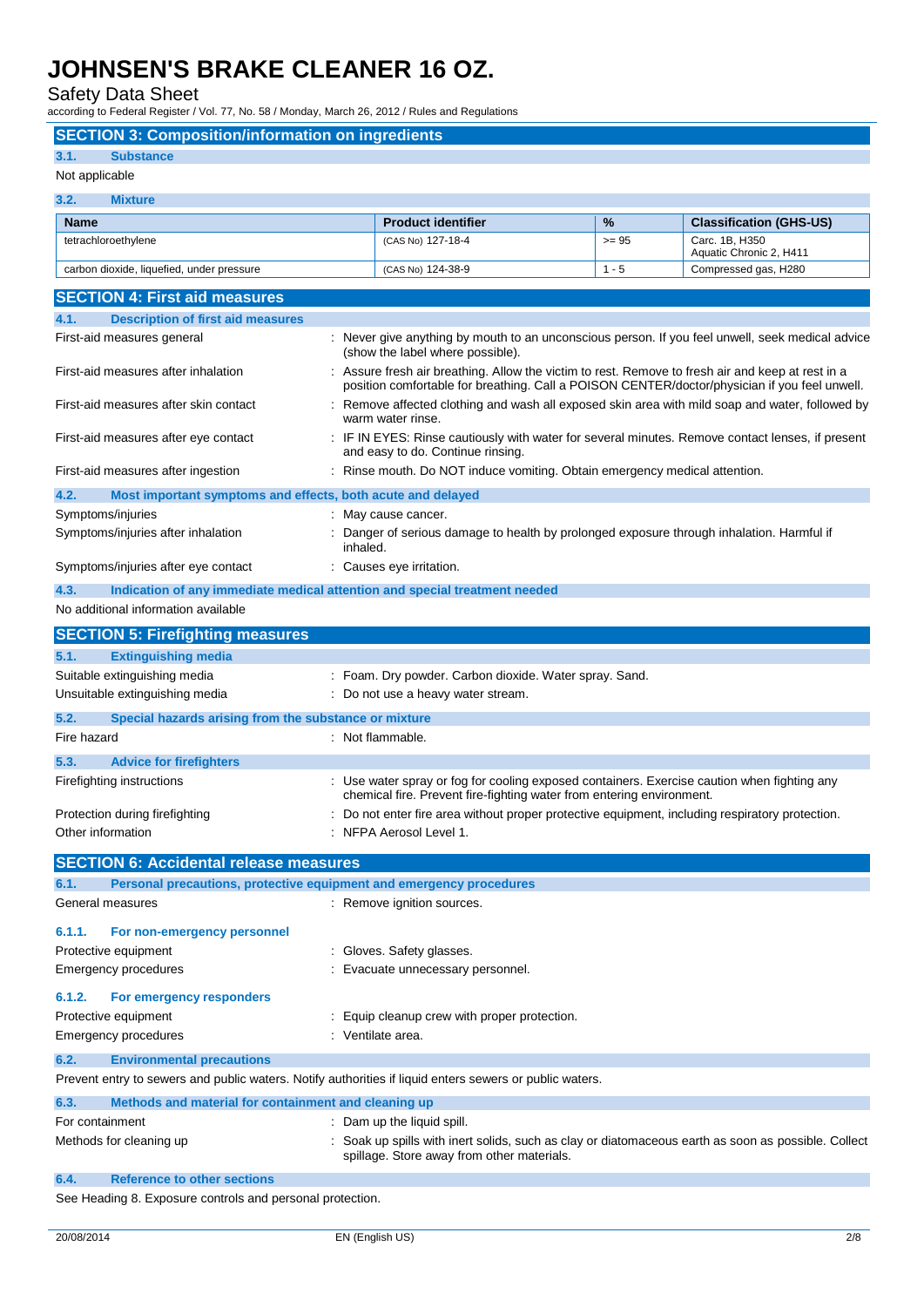Safety Data Sheet

according to Federal Register / Vol. 77, No. 58 / Monday, March 26, 2012 / Rules and Regulations

| <b>SECTION 3: Composition/information on ingredients</b>                                                |          |                                                                                                                                                                                                  |         |                                                 |
|---------------------------------------------------------------------------------------------------------|----------|--------------------------------------------------------------------------------------------------------------------------------------------------------------------------------------------------|---------|-------------------------------------------------|
| 3.1.<br><b>Substance</b>                                                                                |          |                                                                                                                                                                                                  |         |                                                 |
| Not applicable                                                                                          |          |                                                                                                                                                                                                  |         |                                                 |
| 3.2.<br><b>Mixture</b>                                                                                  |          |                                                                                                                                                                                                  |         |                                                 |
| <b>Name</b>                                                                                             |          | <b>Product identifier</b>                                                                                                                                                                        | %       | <b>Classification (GHS-US)</b>                  |
| tetrachloroethylene                                                                                     |          | (CAS No) 127-18-4                                                                                                                                                                                | $>= 95$ | Carc. 1B, H350                                  |
| carbon dioxide, liquefied, under pressure                                                               |          | (CAS No) 124-38-9                                                                                                                                                                                | $1 - 5$ | Aquatic Chronic 2, H411<br>Compressed gas, H280 |
|                                                                                                         |          |                                                                                                                                                                                                  |         |                                                 |
| <b>SECTION 4: First aid measures</b>                                                                    |          |                                                                                                                                                                                                  |         |                                                 |
| <b>Description of first aid measures</b><br>4.1.<br>First-aid measures general                          |          | : Never give anything by mouth to an unconscious person. If you feel unwell, seek medical advice                                                                                                 |         |                                                 |
|                                                                                                         |          | (show the label where possible).                                                                                                                                                                 |         |                                                 |
| First-aid measures after inhalation                                                                     |          | Assure fresh air breathing. Allow the victim to rest. Remove to fresh air and keep at rest in a<br>position comfortable for breathing. Call a POISON CENTER/doctor/physician if you feel unwell. |         |                                                 |
| First-aid measures after skin contact                                                                   |          | Remove affected clothing and wash all exposed skin area with mild soap and water, followed by<br>warm water rinse.                                                                               |         |                                                 |
| First-aid measures after eye contact                                                                    |          | IF IN EYES: Rinse cautiously with water for several minutes. Remove contact lenses, if present<br>and easy to do. Continue rinsing.                                                              |         |                                                 |
| First-aid measures after ingestion                                                                      |          | Rinse mouth. Do NOT induce vomiting. Obtain emergency medical attention.                                                                                                                         |         |                                                 |
| 4.2.<br>Most important symptoms and effects, both acute and delayed                                     |          |                                                                                                                                                                                                  |         |                                                 |
| Symptoms/injuries                                                                                       |          | May cause cancer.                                                                                                                                                                                |         |                                                 |
| Symptoms/injuries after inhalation                                                                      | inhaled. | Danger of serious damage to health by prolonged exposure through inhalation. Harmful if                                                                                                          |         |                                                 |
| Symptoms/injuries after eye contact                                                                     |          | Causes eye irritation.                                                                                                                                                                           |         |                                                 |
| 4.3.<br>Indication of any immediate medical attention and special treatment needed                      |          |                                                                                                                                                                                                  |         |                                                 |
| No additional information available                                                                     |          |                                                                                                                                                                                                  |         |                                                 |
| <b>SECTION 5: Firefighting measures</b>                                                                 |          |                                                                                                                                                                                                  |         |                                                 |
| 5.1.<br><b>Extinguishing media</b>                                                                      |          |                                                                                                                                                                                                  |         |                                                 |
| Suitable extinguishing media                                                                            |          | : Foam. Dry powder. Carbon dioxide. Water spray. Sand.                                                                                                                                           |         |                                                 |
| Unsuitable extinguishing media                                                                          |          | Do not use a heavy water stream.                                                                                                                                                                 |         |                                                 |
| 5.2.<br>Special hazards arising from the substance or mixture                                           |          |                                                                                                                                                                                                  |         |                                                 |
| Fire hazard                                                                                             |          | : Not flammable.                                                                                                                                                                                 |         |                                                 |
| 5.3.<br><b>Advice for firefighters</b>                                                                  |          |                                                                                                                                                                                                  |         |                                                 |
| Firefighting instructions                                                                               |          | : Use water spray or fog for cooling exposed containers. Exercise caution when fighting any<br>chemical fire. Prevent fire-fighting water from entering environment.                             |         |                                                 |
| Protection during firefighting                                                                          |          | Do not enter fire area without proper protective equipment, including respiratory protection.                                                                                                    |         |                                                 |
| Other information                                                                                       |          | : NFPA Aerosol Level 1.                                                                                                                                                                          |         |                                                 |
| <b>SECTION 6: Accidental release measures</b>                                                           |          |                                                                                                                                                                                                  |         |                                                 |
| Personal precautions, protective equipment and emergency procedures<br>6.1.                             |          |                                                                                                                                                                                                  |         |                                                 |
| General measures                                                                                        |          | : Remove ignition sources.                                                                                                                                                                       |         |                                                 |
|                                                                                                         |          |                                                                                                                                                                                                  |         |                                                 |
| 6.1.1.<br>For non-emergency personnel                                                                   |          |                                                                                                                                                                                                  |         |                                                 |
| Protective equipment                                                                                    |          | : Gloves. Safety glasses.                                                                                                                                                                        |         |                                                 |
| <b>Emergency procedures</b>                                                                             |          | Evacuate unnecessary personnel.                                                                                                                                                                  |         |                                                 |
| 6.1.2.<br>For emergency responders                                                                      |          |                                                                                                                                                                                                  |         |                                                 |
| Protective equipment                                                                                    |          | Equip cleanup crew with proper protection.                                                                                                                                                       |         |                                                 |
| <b>Emergency procedures</b>                                                                             |          | : Ventilate area.                                                                                                                                                                                |         |                                                 |
| 6.2.<br><b>Environmental precautions</b>                                                                |          |                                                                                                                                                                                                  |         |                                                 |
| Prevent entry to sewers and public waters. Notify authorities if liquid enters sewers or public waters. |          |                                                                                                                                                                                                  |         |                                                 |
| Methods and material for containment and cleaning up<br>6.3.                                            |          |                                                                                                                                                                                                  |         |                                                 |
| For containment                                                                                         |          | Dam up the liquid spill.                                                                                                                                                                         |         |                                                 |
| Methods for cleaning up                                                                                 |          | Soak up spills with inert solids, such as clay or diatomaceous earth as soon as possible. Collect<br>spillage. Store away from other materials.                                                  |         |                                                 |
| 6.4.<br><b>Reference to other sections</b>                                                              |          |                                                                                                                                                                                                  |         |                                                 |

See Heading 8. Exposure controls and personal protection.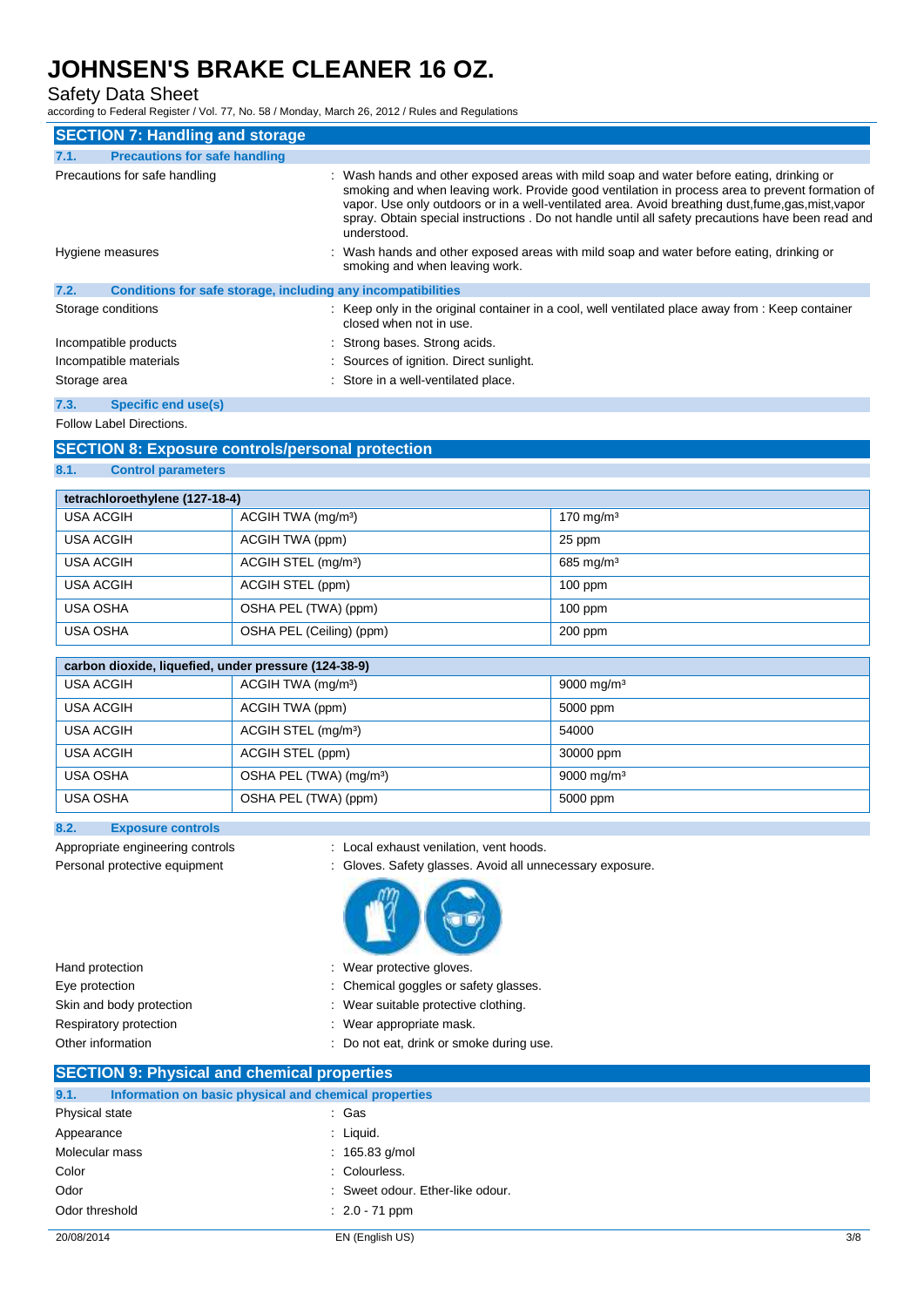Safety Data Sheet

according to Federal Register / Vol. 77, No. 58 / Monday, March 26, 2012 / Rules and Regulations

| <b>SECTION 7: Handling and storage</b>                               |                                                                                                                                                                                                                                                                                                                                                                                                                         |
|----------------------------------------------------------------------|-------------------------------------------------------------------------------------------------------------------------------------------------------------------------------------------------------------------------------------------------------------------------------------------------------------------------------------------------------------------------------------------------------------------------|
| <b>Precautions for safe handling</b><br>7.1.                         |                                                                                                                                                                                                                                                                                                                                                                                                                         |
| Precautions for safe handling                                        | : Wash hands and other exposed areas with mild soap and water before eating, drinking or<br>smoking and when leaving work. Provide good ventilation in process area to prevent formation of<br>vapor. Use only outdoors or in a well-ventilated area. Avoid breathing dust, fume, gas, mist, vapor<br>spray. Obtain special instructions . Do not handle until all safety precautions have been read and<br>understood. |
| Hygiene measures                                                     | Wash hands and other exposed areas with mild soap and water before eating, drinking or<br>smoking and when leaving work.                                                                                                                                                                                                                                                                                                |
| 7.2.<br>Conditions for safe storage, including any incompatibilities |                                                                                                                                                                                                                                                                                                                                                                                                                         |
| Storage conditions                                                   | : Keep only in the original container in a cool, well ventilated place away from : Keep container<br>closed when not in use.                                                                                                                                                                                                                                                                                            |
| Incompatible products                                                | : Strong bases. Strong acids.                                                                                                                                                                                                                                                                                                                                                                                           |
| Incompatible materials                                               | : Sources of ignition. Direct sunlight.                                                                                                                                                                                                                                                                                                                                                                                 |
| Storage area                                                         | : Store in a well-ventilated place.                                                                                                                                                                                                                                                                                                                                                                                     |
| Specific end use(s)<br>7.3.                                          |                                                                                                                                                                                                                                                                                                                                                                                                                         |

Follow Label Directions.

### **SECTION 8: Exposure controls/personal protection**

**8.1. Control parameters**

| tetrachloroethylene (127-18-4) |                                 |                         |
|--------------------------------|---------------------------------|-------------------------|
| <b>USA ACGIH</b>               | ACGIH TWA (mg/m <sup>3</sup> )  | $170$ mg/m <sup>3</sup> |
| USA ACGIH                      | ACGIH TWA (ppm)                 | 25 ppm                  |
| USA ACGIH                      | ACGIH STEL (mg/m <sup>3</sup> ) | 685 mg/m <sup>3</sup>   |
| USA ACGIH                      | ACGIH STEL (ppm)                | $100$ ppm               |
| USA OSHA                       | OSHA PEL (TWA) (ppm)            | $100$ ppm               |
| USA OSHA                       | OSHA PEL (Ceiling) (ppm)        | $200$ ppm               |

| carbon dioxide, liquefied, under pressure (124-38-9) |                                     |                        |
|------------------------------------------------------|-------------------------------------|------------------------|
| <b>USA ACGIH</b>                                     | ACGIH TWA (mg/m <sup>3</sup> )      | 9000 mg/m <sup>3</sup> |
| <b>USA ACGIH</b>                                     | ACGIH TWA (ppm)                     | 5000 ppm               |
| USA ACGIH                                            | ACGIH STEL (mg/m <sup>3</sup> )     | 54000                  |
| <b>USA ACGIH</b>                                     | ACGIH STEL (ppm)                    | 30000 ppm              |
| USA OSHA                                             | OSHA PEL (TWA) (mg/m <sup>3</sup> ) | 9000 mg/m <sup>3</sup> |
| USA OSHA                                             | OSHA PEL (TWA) (ppm)                | 5000 ppm               |

#### **8.2. Exposure controls**

- 
- Appropriate engineering controls : Local exhaust venilation, vent hoods.
- Personal protective equipment : Gloves. Safety glasses. Avoid all unnecessary exposure.



| Hand protection          | : Wear protective gloves.                |
|--------------------------|------------------------------------------|
| Eye protection           | : Chemical goggles or safety glasses.    |
| Skin and body protection | Wear suitable protective clothing.       |
| Respiratory protection   | : Wear appropriate mask.                 |
| Other information        | : Do not eat, drink or smoke during use. |
|                          |                                          |

### **SECTION 9: Physical and chemical properties**

| 9.1.       | Information on basic physical and chemical properties |                                  |     |
|------------|-------------------------------------------------------|----------------------------------|-----|
|            | Physical state                                        | : Gas                            |     |
| Appearance |                                                       | $:$ Liquid.                      |     |
|            | Molecular mass                                        | : $165.83$ g/mol                 |     |
| Color      |                                                       | : Colourless.                    |     |
| Odor       |                                                       | : Sweet odour. Ether-like odour. |     |
|            | Odor threshold                                        | $: 2.0 - 71$ ppm                 |     |
| 20/08/2014 |                                                       | EN (English US)                  | 3/8 |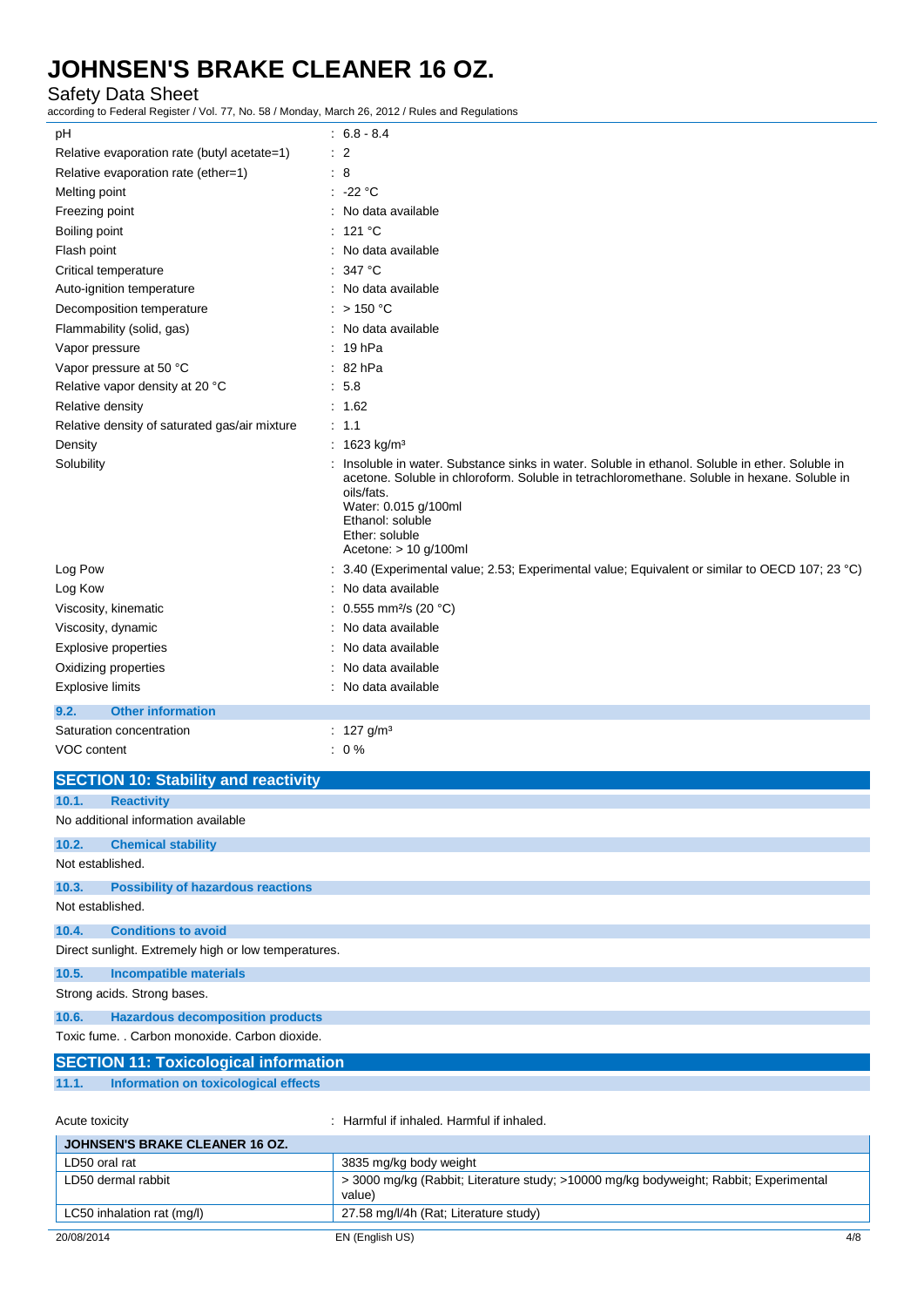Safety Data Sheet

according to Federal Register / Vol. 77, No. 58 / Monday, March 26, 2012 / Rules and Regulations

| рH                                                   | $6.8 - 8.4$                                                                                                                                                                                                                                                                                           |  |
|------------------------------------------------------|-------------------------------------------------------------------------------------------------------------------------------------------------------------------------------------------------------------------------------------------------------------------------------------------------------|--|
| Relative evaporation rate (butyl acetate=1)          | $\therefore$ 2                                                                                                                                                                                                                                                                                        |  |
| Relative evaporation rate (ether=1)                  | : 8                                                                                                                                                                                                                                                                                                   |  |
| Melting point                                        | -22 °C                                                                                                                                                                                                                                                                                                |  |
| Freezing point                                       | No data available                                                                                                                                                                                                                                                                                     |  |
| Boiling point                                        | 121 °C                                                                                                                                                                                                                                                                                                |  |
| Flash point                                          | No data available                                                                                                                                                                                                                                                                                     |  |
| Critical temperature                                 | 347 °C                                                                                                                                                                                                                                                                                                |  |
| Auto-ignition temperature                            | No data available                                                                                                                                                                                                                                                                                     |  |
| Decomposition temperature                            | >150 °C                                                                                                                                                                                                                                                                                               |  |
| Flammability (solid, gas)                            | No data available                                                                                                                                                                                                                                                                                     |  |
| Vapor pressure                                       | 19 <sub>hPa</sub>                                                                                                                                                                                                                                                                                     |  |
| Vapor pressure at 50 °C                              | 82 hPa                                                                                                                                                                                                                                                                                                |  |
| Relative vapor density at 20 °C                      | 5.8                                                                                                                                                                                                                                                                                                   |  |
| Relative density                                     | 1.62                                                                                                                                                                                                                                                                                                  |  |
| Relative density of saturated gas/air mixture        | 1.1                                                                                                                                                                                                                                                                                                   |  |
| Density                                              | 1623 kg/m <sup>3</sup>                                                                                                                                                                                                                                                                                |  |
| Solubility                                           | Insoluble in water. Substance sinks in water. Soluble in ethanol. Soluble in ether. Soluble in<br>acetone. Soluble in chloroform. Soluble in tetrachloromethane. Soluble in hexane. Soluble in<br>oils/fats.<br>Water: 0.015 g/100ml<br>Ethanol: soluble<br>Ether: soluble<br>Acetone: $> 10$ g/100ml |  |
| Log Pow                                              | 3.40 (Experimental value; 2.53; Experimental value; Equivalent or similar to OECD 107; 23 °C)                                                                                                                                                                                                         |  |
| Log Kow                                              | No data available                                                                                                                                                                                                                                                                                     |  |
| Viscosity, kinematic                                 | 0.555 mm <sup>2</sup> /s (20 °C)                                                                                                                                                                                                                                                                      |  |
| Viscosity, dynamic                                   | No data available                                                                                                                                                                                                                                                                                     |  |
| <b>Explosive properties</b>                          | No data available                                                                                                                                                                                                                                                                                     |  |
| Oxidizing properties                                 | No data available                                                                                                                                                                                                                                                                                     |  |
| <b>Explosive limits</b>                              | No data available                                                                                                                                                                                                                                                                                     |  |
| 9.2.<br><b>Other information</b>                     |                                                                                                                                                                                                                                                                                                       |  |
| Saturation concentration                             | : $127$ g/m <sup>3</sup>                                                                                                                                                                                                                                                                              |  |
| VOC content                                          | $: 0 \%$                                                                                                                                                                                                                                                                                              |  |
|                                                      |                                                                                                                                                                                                                                                                                                       |  |
| <b>SECTION 10: Stability and reactivity</b>          |                                                                                                                                                                                                                                                                                                       |  |
| 10.1.<br><b>Reactivity</b>                           |                                                                                                                                                                                                                                                                                                       |  |
| No additional information available                  |                                                                                                                                                                                                                                                                                                       |  |
| 10.2.<br><b>Chemical stability</b>                   |                                                                                                                                                                                                                                                                                                       |  |
| Not established.                                     |                                                                                                                                                                                                                                                                                                       |  |
| <b>Possibility of hazardous reactions</b><br>10.3.   |                                                                                                                                                                                                                                                                                                       |  |
| Not established.                                     |                                                                                                                                                                                                                                                                                                       |  |
| 10.4.<br><b>Conditions to avoid</b>                  |                                                                                                                                                                                                                                                                                                       |  |
| Direct sunlight. Extremely high or low temperatures. |                                                                                                                                                                                                                                                                                                       |  |
| 10.5.<br><b>Incompatible materials</b>               |                                                                                                                                                                                                                                                                                                       |  |
| Strong acids. Strong bases.                          |                                                                                                                                                                                                                                                                                                       |  |
| 10.6.<br><b>Hazardous decomposition products</b>     |                                                                                                                                                                                                                                                                                                       |  |
| Toxic fume. . Carbon monoxide. Carbon dioxide.       |                                                                                                                                                                                                                                                                                                       |  |
| <b>SECTION 11: Toxicological information</b>         |                                                                                                                                                                                                                                                                                                       |  |
|                                                      |                                                                                                                                                                                                                                                                                                       |  |
| 11.1.<br><b>Information on toxicological effects</b> |                                                                                                                                                                                                                                                                                                       |  |
| Acute toxicity                                       | : Harmful if inhaled. Harmful if inhaled.                                                                                                                                                                                                                                                             |  |
|                                                      |                                                                                                                                                                                                                                                                                                       |  |

| <b>JOHNSEN'S BRAKE CLEANER 16 OZ.</b> |                                                                                                 |     |
|---------------------------------------|-------------------------------------------------------------------------------------------------|-----|
| LD50 oral rat                         | 3835 mg/kg body weight                                                                          |     |
| LD50 dermal rabbit                    | > 3000 mg/kg (Rabbit; Literature study; >10000 mg/kg bodyweight; Rabbit; Experimental<br>value) |     |
| LC50 inhalation rat (mg/l)            | 27.58 mg/l/4h (Rat; Literature study)                                                           |     |
| 20/08/2014                            | EN (English US)                                                                                 | 4/8 |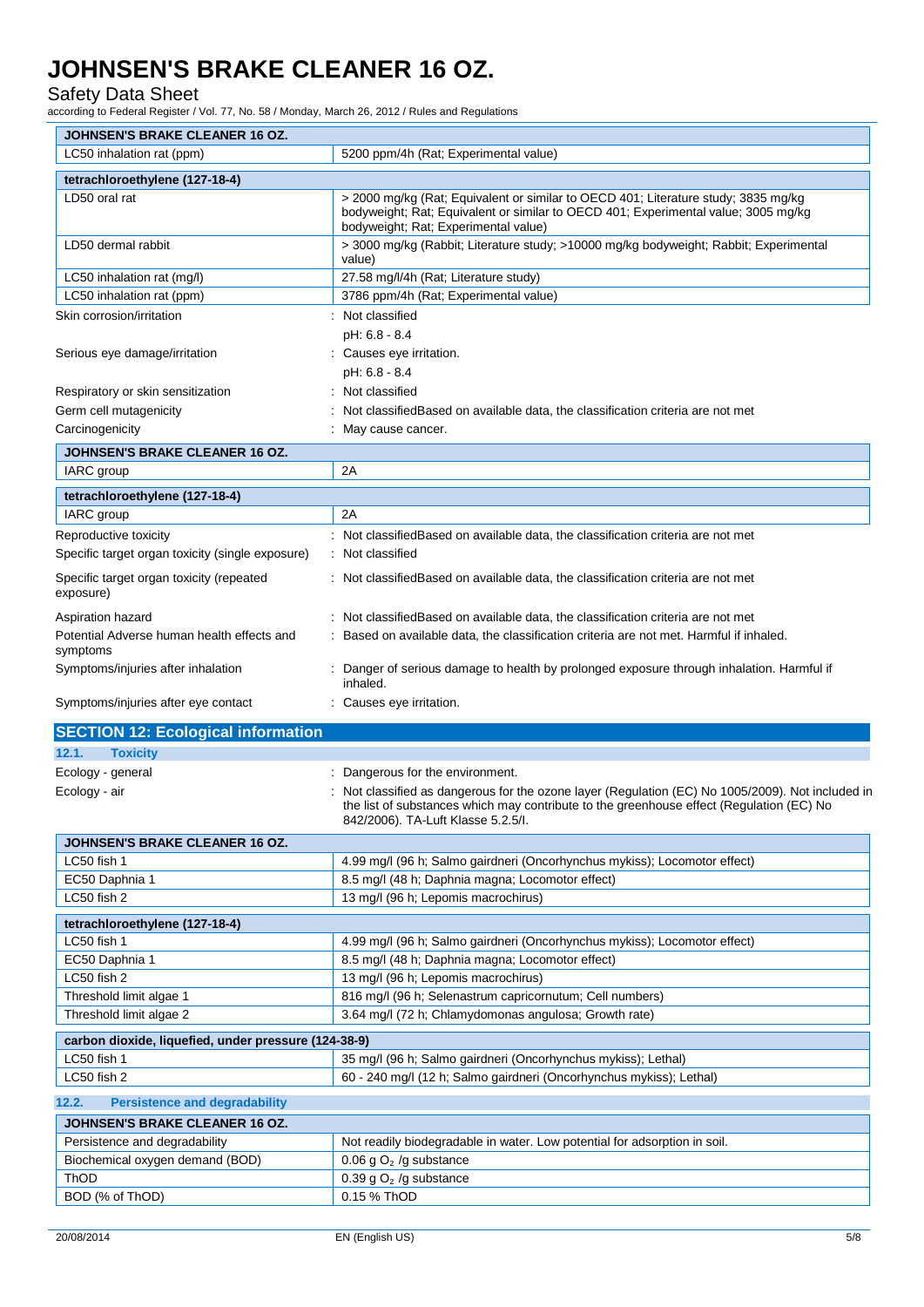### Safety Data Sheet

according to Federal Register / Vol. 77, No. 58 / Monday, March 26, 2012 / Rules and Regulations

| <b>JOHNSEN'S BRAKE CLEANER 16 OZ.</b>                  |                                                                                                                                                                                                                                   |
|--------------------------------------------------------|-----------------------------------------------------------------------------------------------------------------------------------------------------------------------------------------------------------------------------------|
| LC50 inhalation rat (ppm)                              | 5200 ppm/4h (Rat; Experimental value)                                                                                                                                                                                             |
| tetrachloroethylene (127-18-4)                         |                                                                                                                                                                                                                                   |
| LD50 oral rat                                          | > 2000 mg/kg (Rat; Equivalent or similar to OECD 401; Literature study; 3835 mg/kg<br>bodyweight; Rat; Equivalent or similar to OECD 401; Experimental value; 3005 mg/kg<br>bodyweight; Rat; Experimental value)                  |
| LD50 dermal rabbit                                     | > 3000 mg/kg (Rabbit; Literature study; >10000 mg/kg bodyweight; Rabbit; Experimental<br>value)                                                                                                                                   |
| LC50 inhalation rat (mg/l)                             | 27.58 mg/l/4h (Rat; Literature study)                                                                                                                                                                                             |
| LC50 inhalation rat (ppm)                              | 3786 ppm/4h (Rat; Experimental value)                                                                                                                                                                                             |
| Skin corrosion/irritation                              | : Not classified                                                                                                                                                                                                                  |
|                                                        | pH: 6.8 - 8.4                                                                                                                                                                                                                     |
| Serious eye damage/irritation                          | : Causes eye irritation.                                                                                                                                                                                                          |
|                                                        | pH: 6.8 - 8.4                                                                                                                                                                                                                     |
| Respiratory or skin sensitization                      | Not classified                                                                                                                                                                                                                    |
| Germ cell mutagenicity                                 | Not classified Based on available data, the classification criteria are not met                                                                                                                                                   |
| Carcinogenicity                                        | May cause cancer.                                                                                                                                                                                                                 |
| <b>JOHNSEN'S BRAKE CLEANER 16 OZ.</b>                  |                                                                                                                                                                                                                                   |
| IARC group                                             | 2A                                                                                                                                                                                                                                |
| tetrachloroethylene (127-18-4)                         |                                                                                                                                                                                                                                   |
| IARC group                                             | 2A                                                                                                                                                                                                                                |
| Reproductive toxicity                                  | Not classified Based on available data, the classification criteria are not met                                                                                                                                                   |
| Specific target organ toxicity (single exposure)       | : Not classified                                                                                                                                                                                                                  |
| Specific target organ toxicity (repeated<br>exposure)  | : Not classifiedBased on available data, the classification criteria are not met                                                                                                                                                  |
| Aspiration hazard                                      | Not classified Based on available data, the classification criteria are not met                                                                                                                                                   |
| Potential Adverse human health effects and<br>symptoms | Based on available data, the classification criteria are not met. Harmful if inhaled.                                                                                                                                             |
| Symptoms/injuries after inhalation                     | Danger of serious damage to health by prolonged exposure through inhalation. Harmful if<br>inhaled.                                                                                                                               |
| Symptoms/injuries after eye contact                    | Causes eye irritation.                                                                                                                                                                                                            |
| <b>SECTION 12: Ecological information</b>              |                                                                                                                                                                                                                                   |
| 12.1.<br><b>Toxicity</b>                               |                                                                                                                                                                                                                                   |
| Ecology - general                                      | Dangerous for the environment.                                                                                                                                                                                                    |
| Ecology - air                                          | Not classified as dangerous for the ozone layer (Regulation (EC) No 1005/2009). Not included in<br>the list of substances which may contribute to the greenhouse effect (Regulation (EC) No<br>842/2006). TA-Luft Klasse 5.2.5/I. |
| JOHNSEN'S BRAKE CLEANER 16 OZ.                         |                                                                                                                                                                                                                                   |
| LC50 fish 1                                            | 4.99 mg/l (96 h; Salmo gairdneri (Oncorhynchus mykiss); Locomotor effect)                                                                                                                                                         |
| EC50 Daphnia 1                                         | 8.5 mg/l (48 h; Daphnia magna; Locomotor effect)                                                                                                                                                                                  |
| LC50 fish 2                                            | 13 mg/l (96 h; Lepomis macrochirus)                                                                                                                                                                                               |
| tetrachloroethylene (127-18-4)                         |                                                                                                                                                                                                                                   |
| LC50 fish 1                                            | 4.99 mg/l (96 h; Salmo gairdneri (Oncorhynchus mykiss); Locomotor effect)                                                                                                                                                         |
| EC50 Daphnia 1                                         | 8.5 mg/l (48 h; Daphnia magna; Locomotor effect)                                                                                                                                                                                  |
| LC50 fish 2                                            | 13 mg/l (96 h; Lepomis macrochirus)                                                                                                                                                                                               |
| Threshold limit algae 1                                | 816 mg/l (96 h; Selenastrum capricornutum; Cell numbers)                                                                                                                                                                          |
| Threshold limit algae 2                                | 3.64 mg/l (72 h; Chlamydomonas angulosa; Growth rate)                                                                                                                                                                             |
| carbon dioxide, liquefied, under pressure (124-38-9)   |                                                                                                                                                                                                                                   |
| LC50 fish 1                                            | 35 mg/l (96 h; Salmo gairdneri (Oncorhynchus mykiss); Lethal)                                                                                                                                                                     |
| LC50 fish 2                                            | 60 - 240 mg/l (12 h; Salmo gairdneri (Oncorhynchus mykiss); Lethal)                                                                                                                                                               |
| 12.2.<br><b>Persistence and degradability</b>          |                                                                                                                                                                                                                                   |
| JOHNSEN'S BRAKE CLEANER 16 OZ.                         |                                                                                                                                                                                                                                   |
| Persistence and degradability                          | Not readily biodegradable in water. Low potential for adsorption in soil.                                                                                                                                                         |
| Biochemical oxygen demand (BOD)                        | 0.06 g $O2$ /g substance                                                                                                                                                                                                          |

ThOD  $0.39 g O<sub>2</sub> /g$  substance

BOD (% of ThOD) 0.15 % ThOD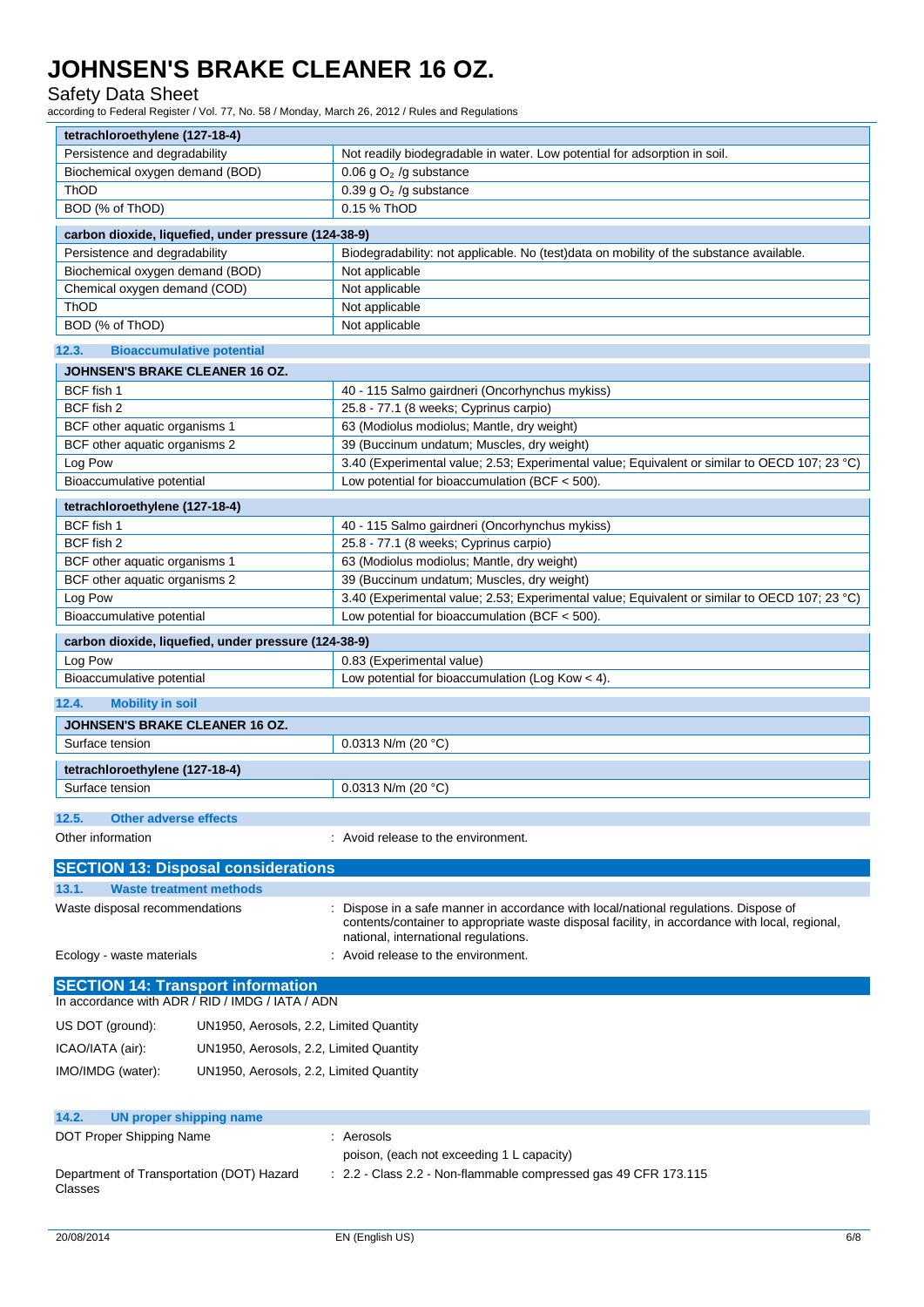### Safety Data Sheet

according to Federal Register / Vol. 77, No. 58 / Monday, March 26, 2012 / Rules and Regulations

| tetrachloroethylene (127-18-4)                               |                                                                                                |
|--------------------------------------------------------------|------------------------------------------------------------------------------------------------|
| Persistence and degradability                                | Not readily biodegradable in water. Low potential for adsorption in soil.                      |
| Biochemical oxygen demand (BOD)                              | 0.06 g $O2$ /g substance                                                                       |
| ThOD                                                         | 0.39 g $O2$ /g substance                                                                       |
| BOD (% of ThOD)                                              | 0.15 % ThOD                                                                                    |
| carbon dioxide, liquefied, under pressure (124-38-9)         |                                                                                                |
| Persistence and degradability                                | Biodegradability: not applicable. No (test)data on mobility of the substance available.        |
| Biochemical oxygen demand (BOD)                              | Not applicable                                                                                 |
| Chemical oxygen demand (COD)                                 | Not applicable                                                                                 |
| ThOD                                                         | Not applicable                                                                                 |
| BOD (% of ThOD)                                              | Not applicable                                                                                 |
| 12.3.<br><b>Bioaccumulative potential</b>                    |                                                                                                |
| JOHNSEN'S BRAKE CLEANER 16 OZ.                               |                                                                                                |
| BCF fish 1                                                   | 40 - 115 Salmo gairdneri (Oncorhynchus mykiss)                                                 |
| BCF fish 2                                                   | 25.8 - 77.1 (8 weeks; Cyprinus carpio)                                                         |
| BCF other aquatic organisms 1                                | 63 (Modiolus modiolus; Mantle, dry weight)                                                     |
| BCF other aquatic organisms 2                                | 39 (Buccinum undatum; Muscles, dry weight)                                                     |
| Log Pow                                                      | 3.40 (Experimental value; 2.53; Experimental value; Equivalent or similar to OECD 107; 23 °C)  |
| Bioaccumulative potential                                    | Low potential for bioaccumulation (BCF $<$ 500).                                               |
| tetrachloroethylene (127-18-4)                               |                                                                                                |
| BCF fish 1                                                   |                                                                                                |
| BCF fish 2                                                   | 40 - 115 Salmo gairdneri (Oncorhynchus mykiss)<br>25.8 - 77.1 (8 weeks; Cyprinus carpio)       |
| BCF other aquatic organisms 1                                | 63 (Modiolus modiolus; Mantle, dry weight)                                                     |
| BCF other aquatic organisms 2                                | 39 (Buccinum undatum; Muscles, dry weight)                                                     |
| Log Pow                                                      | 3.40 (Experimental value; 2.53; Experimental value; Equivalent or similar to OECD 107; 23 °C)  |
| Bioaccumulative potential                                    | Low potential for bioaccumulation (BCF $<$ 500).                                               |
|                                                              |                                                                                                |
| carbon dioxide, liquefied, under pressure (124-38-9)         |                                                                                                |
| Log Pow                                                      | 0.83 (Experimental value)                                                                      |
| Bioaccumulative potential                                    | Low potential for bioaccumulation (Log Kow < 4).                                               |
| 12.4.<br><b>Mobility in soil</b>                             |                                                                                                |
| JOHNSEN'S BRAKE CLEANER 16 OZ.                               |                                                                                                |
| Surface tension                                              | 0.0313 N/m (20 °C)                                                                             |
| tetrachloroethylene (127-18-4)                               |                                                                                                |
| Surface tension                                              | 0.0313 N/m (20 $^{\circ}$ C)                                                                   |
|                                                              |                                                                                                |
| 12.5.<br><b>Other adverse effects</b>                        |                                                                                                |
| Other information                                            | : Avoid release to the environment.                                                            |
| <b>SECTION 13: Disposal considerations</b>                   |                                                                                                |
| 13.1.<br><b>Waste treatment methods</b>                      |                                                                                                |
| Waste disposal recommendations                               | : Dispose in a safe manner in accordance with local/national regulations. Dispose of           |
|                                                              | contents/container to appropriate waste disposal facility, in accordance with local, regional, |
|                                                              | national, international regulations.                                                           |
| Ecology - waste materials                                    | : Avoid release to the environment.                                                            |
| <b>SECTION 14: Transport information</b>                     |                                                                                                |
| In accordance with ADR / RID / IMDG / IATA / ADN             |                                                                                                |
|                                                              |                                                                                                |
| US DOT (ground):<br>UN1950, Aerosols, 2.2, Limited Quantity  |                                                                                                |
| ICAO/IATA (air):<br>UN1950, Aerosols, 2.2, Limited Quantity  |                                                                                                |
| IMO/IMDG (water):<br>UN1950, Aerosols, 2.2, Limited Quantity |                                                                                                |
|                                                              |                                                                                                |
| 14.2.<br><b>UN proper shipping name</b>                      |                                                                                                |
| DOT Proper Shipping Name                                     | : Aerosols                                                                                     |
|                                                              | poison, (each not exceeding 1 L capacity)                                                      |
| Department of Transportation (DOT) Hazard                    | : 2.2 - Class 2.2 - Non-flammable compressed gas 49 CFR 173.115                                |
| Classes                                                      |                                                                                                |
|                                                              |                                                                                                |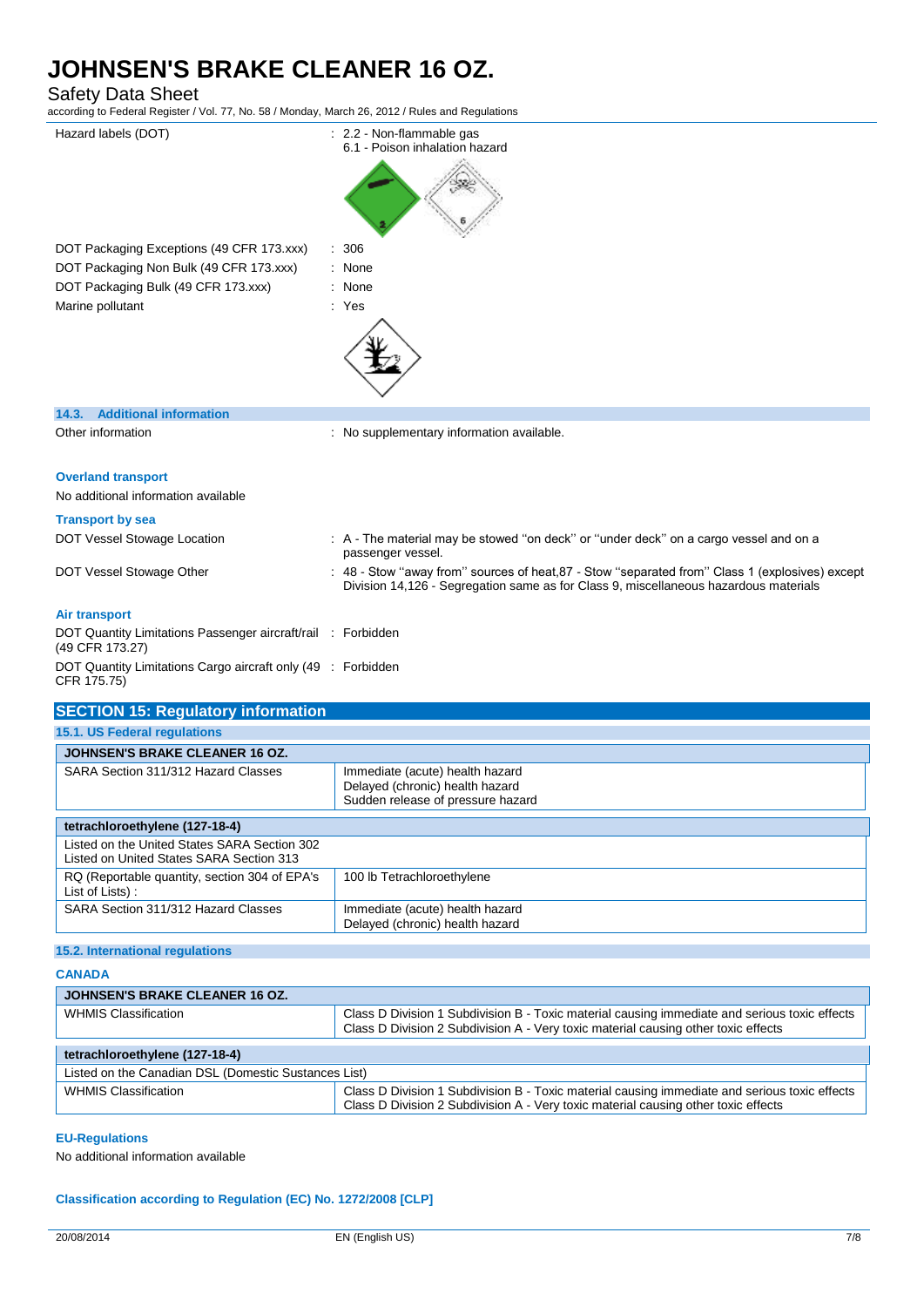Safety Data Sheet

according to Federal Register / Vol. 77, No. 58 / Monday, March 26, 2012 / Rules and Regulations

| Hazard labels (DOT)                                                             | : 2.2 - Non-flammable gas<br>6.1 - Poison inhalation hazard                                                                                                                             |
|---------------------------------------------------------------------------------|-----------------------------------------------------------------------------------------------------------------------------------------------------------------------------------------|
| DOT Packaging Exceptions (49 CFR 173.xxx)                                       | : 306                                                                                                                                                                                   |
| DOT Packaging Non Bulk (49 CFR 173.xxx)                                         | : None                                                                                                                                                                                  |
| DOT Packaging Bulk (49 CFR 173.xxx)                                             | : None                                                                                                                                                                                  |
| Marine pollutant                                                                | : Yes                                                                                                                                                                                   |
|                                                                                 |                                                                                                                                                                                         |
| 14.3. Additional information                                                    |                                                                                                                                                                                         |
| Other information                                                               | : No supplementary information available.                                                                                                                                               |
| <b>Overland transport</b>                                                       |                                                                                                                                                                                         |
| No additional information available                                             |                                                                                                                                                                                         |
| <b>Transport by sea</b>                                                         |                                                                                                                                                                                         |
| DOT Vessel Stowage Location                                                     | : A - The material may be stowed "on deck" or "under deck" on a cargo vessel and on a<br>passenger vessel.                                                                              |
| DOT Vessel Stowage Other                                                        | : 48 - Stow "away from" sources of heat, 87 - Stow "separated from" Class 1 (explosives) except<br>Division 14,126 - Segregation same as for Class 9, miscellaneous hazardous materials |
| <b>Air transport</b>                                                            |                                                                                                                                                                                         |
| DOT Quantity Limitations Passenger aircraft/rail : Forbidden<br>(49 CFR 173.27) |                                                                                                                                                                                         |
| DOT Quantity Limitations Cargo aircraft only (49 : Forbidden<br>CFR 175.75)     |                                                                                                                                                                                         |
| <b>SECTION 15: Regulatory information</b>                                       |                                                                                                                                                                                         |

| Immediate (acute) health hazard<br>Delayed (chronic) health hazard<br>Sudden release of pressure hazard |
|---------------------------------------------------------------------------------------------------------|
|                                                                                                         |
|                                                                                                         |
| 100 lb Tetrachloroethylene                                                                              |
| Immediate (acute) health hazard<br>Delayed (chronic) health hazard                                      |
|                                                                                                         |

**15.2. International regulations**

| <b>CANADA</b>                                        |                                                                                                                                                                                     |  |  |  |  |
|------------------------------------------------------|-------------------------------------------------------------------------------------------------------------------------------------------------------------------------------------|--|--|--|--|
| <b>JOHNSEN'S BRAKE CLEANER 16 OZ.</b>                |                                                                                                                                                                                     |  |  |  |  |
| <b>WHMIS Classification</b>                          | Class D Division 1 Subdivision B - Toxic material causing immediate and serious toxic effects<br>Class D Division 2 Subdivision A - Very toxic material causing other toxic effects |  |  |  |  |
| tetrachloroethylene (127-18-4)                       |                                                                                                                                                                                     |  |  |  |  |
| Listed on the Canadian DSL (Domestic Sustances List) |                                                                                                                                                                                     |  |  |  |  |
| <b>WHMIS Classification</b>                          | Class D Division 1 Subdivision B - Toxic material causing immediate and serious toxic effects<br>Class D Division 2 Subdivision A - Very toxic material causing other toxic effects |  |  |  |  |

#### **EU-Regulations**

No additional information available

**Classification according to Regulation (EC) No. 1272/2008 [CLP]**